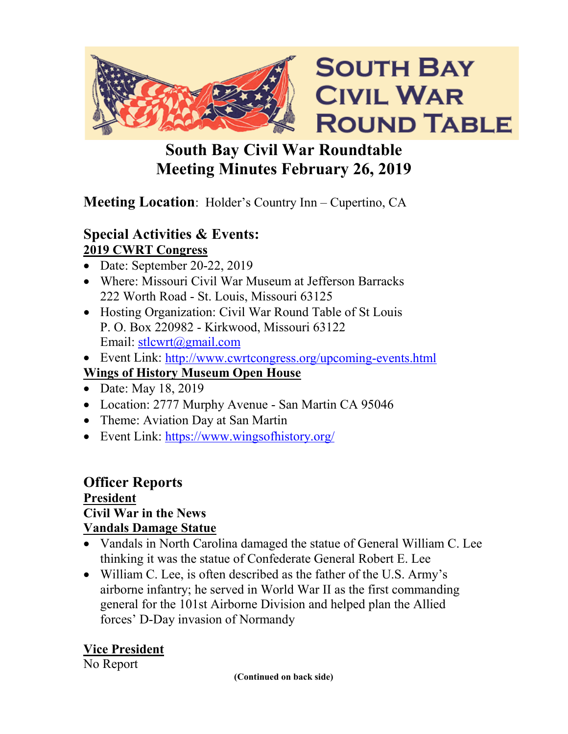

# **South Bay Civil War Roundtable Meeting Minutes February 26, 2019**

# **Meeting Location**: Holder's Country Inn – Cupertino, CA

#### **Special Activities & Events: 2019 CWRT Congress**

- Date: September 20-22, 2019
- Where: Missouri Civil War Museum at Jefferson Barracks 222 Worth Road - St. Louis, Missouri 63125
- Hosting Organization: Civil War Round Table of St Louis P. O. Box 220982 - Kirkwood, Missouri 63122 Email: [stlcwrt@gmail.com](mailto:stlcwrt@gmail.com)
- Event Link:<http://www.cwrtcongress.org/upcoming-events.html> **Wings of History Museum Open House**
- Date: May 18, 2019
- Location: 2777 Murphy Avenue San Martin CA 95046
- Theme: Aviation Day at San Martin
- Event Link: https://www.wingsofhistory.org/

# **Officer Reports President**

# **Civil War in the News**

#### **Vandals Damage Statue**

- Vandals in North Carolina damaged the statue of General William C. Lee thinking it was the statue of Confederate General Robert E. Lee
- William C. Lee, is often described as the father of the U.S. Army's airborne infantry; he served in World War II as the first commanding general for the 101st Airborne Division and helped plan the Allied forces' D-Day invasion of Normandy

#### **Vice President**

#### No Report

**(Continued on back side)**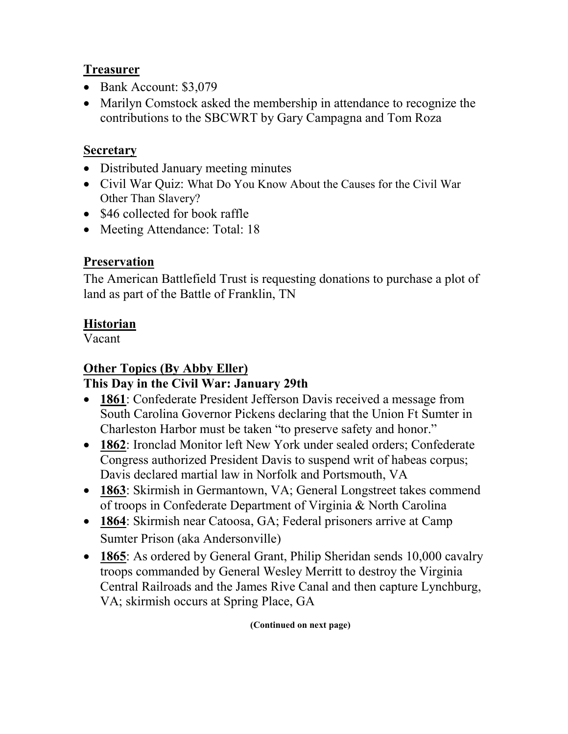#### **Treasurer**

- Bank Account: \$3,079
- Marilyn Comstock asked the membership in attendance to recognize the contributions to the SBCWRT by Gary Campagna and Tom Roza

#### **Secretary**

- Distributed January meeting minutes
- Civil War Ouiz: What Do You Know About the Causes for the Civil War Other Than Slavery?
- \$46 collected for book raffle
- Meeting Attendance: Total: 18

#### **Preservation**

The American Battlefield Trust is requesting donations to purchase a plot of land as part of the Battle of Franklin, TN

#### **Historian**

Vacant

## **Other Topics (By Abby Eller)**

#### **This Day in the Civil War: January 29th**

- **1861**: Confederate President Jefferson Davis received a message from South Carolina Governor Pickens declaring that the Union Ft Sumter in Charleston Harbor must be taken "to preserve safety and honor."
- **1862**: Ironclad Monitor left New York under sealed orders; Confederate Congress authorized President Davis to suspend writ of habeas corpus; Davis declared martial law in Norfolk and Portsmouth, VA
- **1863**: Skirmish in Germantown, VA; General Longstreet takes commend of troops in Confederate Department of Virginia & North Carolina
- **1864**: Skirmish near Catoosa, GA; Federal prisoners arrive at Camp Sumter Prison (aka Andersonville)
- **1865**: As ordered by General Grant, Philip Sheridan sends 10,000 cavalry troops commanded by General Wesley Merritt to destroy the Virginia Central Railroads and the James Rive Canal and then capture Lynchburg, VA; skirmish occurs at Spring Place, GA

**(Continued on next page)**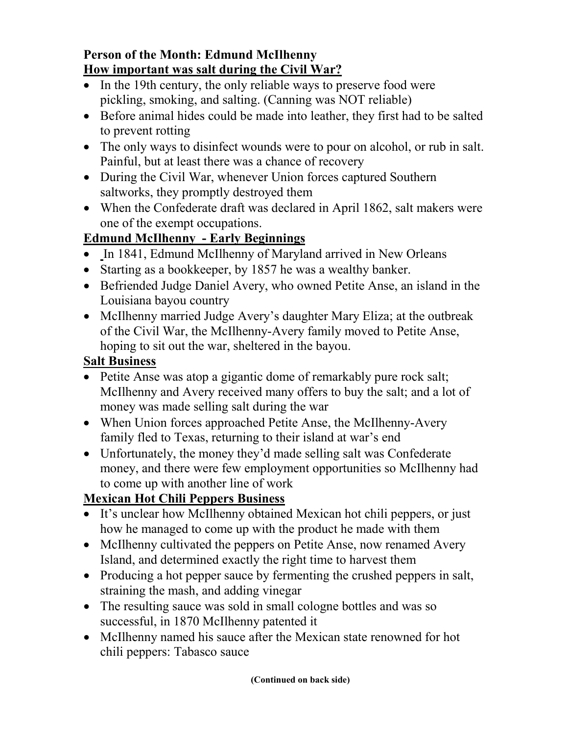#### **Person of the Month: Edmund McIlhenny How important was salt during the Civil War?**

- In the 19th century, the only reliable ways to preserve food were pickling, smoking, and salting. (Canning was NOT reliable)
- Before animal hides could be made into leather, they first had to be salted to prevent rotting
- The only ways to disinfect wounds were to pour on alcohol, or rub in salt. Painful, but at least there was a chance of recovery
- During the Civil War, whenever Union forces captured Southern saltworks, they promptly destroyed them
- When the Confederate draft was declared in April 1862, salt makers were one of the exempt occupations.

## **Edmund McIlhenny - Early Beginnings**

- In 1841, Edmund McIlhenny of Maryland arrived in New Orleans
- Starting as a bookkeeper, by 1857 he was a wealthy banker.
- Befriended Judge Daniel Avery, who owned Petite Anse, an island in the Louisiana bayou country
- McIlhenny married Judge Avery's daughter Mary Eliza; at the outbreak of the Civil War, the McIlhenny-Avery family moved to Petite Anse, hoping to sit out the war, sheltered in the bayou.

## **Salt Business**

- Petite Anse was atop a gigantic dome of remarkably pure rock salt; McIlhenny and Avery received many offers to buy the salt; and a lot of money was made selling salt during the war
- When Union forces approached Petite Anse, the McIlhenny-Avery family fled to Texas, returning to their island at war's end
- Unfortunately, the money they'd made selling salt was Confederate money, and there were few employment opportunities so McIlhenny had to come up with another line of work

# **Mexican Hot Chili Peppers Business**

- It's unclear how McIlhenny obtained Mexican hot chili peppers, or just how he managed to come up with the product he made with them
- McIlhenny cultivated the peppers on Petite Anse, now renamed Avery Island, and determined exactly the right time to harvest them
- Producing a hot pepper sauce by fermenting the crushed peppers in salt, straining the mash, and adding vinegar
- The resulting sauce was sold in small cologne bottles and was so successful, in 1870 McIlhenny patented it
- McIlhenny named his sauce after the Mexican state renowned for hot chili peppers: Tabasco sauce